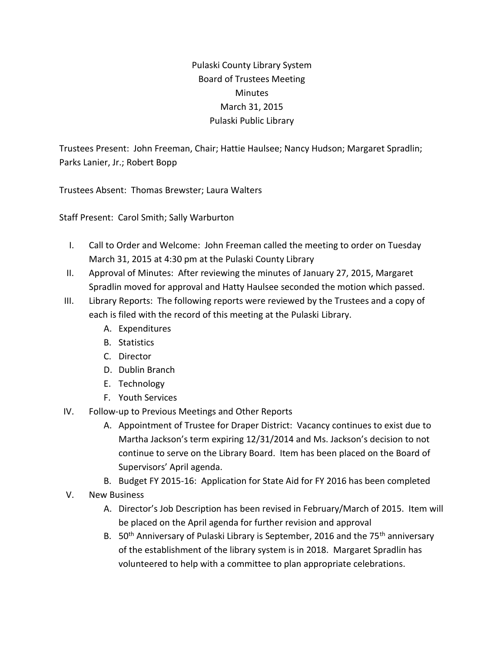## Pulaski County Library System Board of Trustees Meeting **Minutes** March 31, 2015 Pulaski Public Library

Trustees Present: John Freeman, Chair; Hattie Haulsee; Nancy Hudson; Margaret Spradlin; Parks Lanier, Jr.; Robert Bopp

Trustees Absent: Thomas Brewster; Laura Walters

Staff Present: Carol Smith; Sally Warburton

- I. Call to Order and Welcome: John Freeman called the meeting to order on Tuesday March 31, 2015 at 4:30 pm at the Pulaski County Library
- II. Approval of Minutes: After reviewing the minutes of January 27, 2015, Margaret Spradlin moved for approval and Hatty Haulsee seconded the motion which passed.
- III. Library Reports: The following reports were reviewed by the Trustees and a copy of each is filed with the record of this meeting at the Pulaski Library.
	- A. Expenditures
	- B. Statistics
	- C. Director
	- D. Dublin Branch
	- E. Technology
	- F. Youth Services
- IV. Follow-up to Previous Meetings and Other Reports
	- A. Appointment of Trustee for Draper District: Vacancy continues to exist due to Martha Jackson's term expiring 12/31/2014 and Ms. Jackson's decision to not continue to serve on the Library Board. Item has been placed on the Board of Supervisors' April agenda.
	- B. Budget FY 2015-16: Application for State Aid for FY 2016 has been completed
- V. New Business
	- A. Director's Job Description has been revised in February/March of 2015. Item will be placed on the April agenda for further revision and approval
	- B. 50<sup>th</sup> Anniversary of Pulaski Library is September, 2016 and the 75<sup>th</sup> anniversary of the establishment of the library system is in 2018. Margaret Spradlin has volunteered to help with a committee to plan appropriate celebrations.